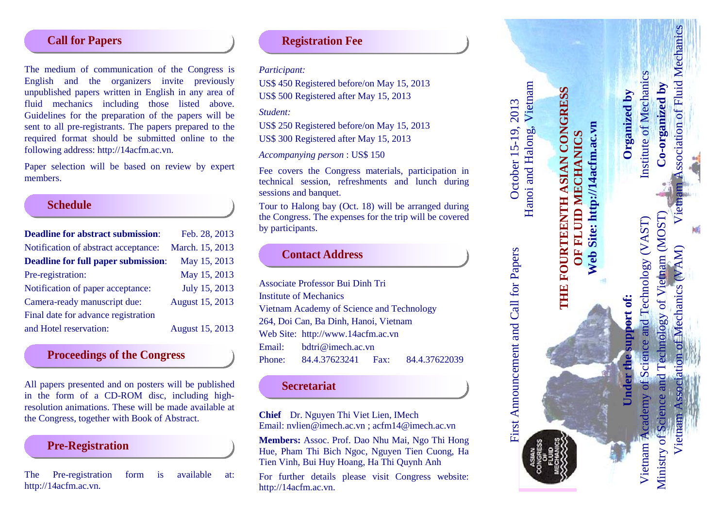### **Call for Papers**

The medium of communication of the Congress is English and the organizers invite previously unpublished papers written in English in any area of fluid mechanics including those listed above. Guidelines for the preparation of the papers will be sent to all pre -registrants. The papers prepared to the required format should be submitted online to the following address: http://14acfm.ac.vn .

Paper selection will be based on review by expert members.

### **Schedule**

| <b>Deadline for abstract submission:</b>   | Feb. 28, 2013          |
|--------------------------------------------|------------------------|
| Notification of abstract acceptance:       | March. 15, 2013        |
| <b>Deadline for full paper submission:</b> | May 15, 2013           |
| Pre-registration:                          | May 15, 2013           |
| Notification of paper acceptance:          | July 15, 2013          |
| Camera-ready manuscript due:               | August 15, 2013        |
| Final date for advance registration        |                        |
| and Hotel reservation:                     | <b>August 15, 2013</b> |

## **Proceedings of the Congress**

All papers presented and on posters will be published in the form of a CD -ROM disc, including high resolution animations. These will be made available at the Congress, together with Book of Abstract .

### **Pre -Registration**

The Pre -registration form is available at at: http://14acfm.ac.vn .

### **Registration Fee**

*Participant:*

US\$ 450 Registered before/on May 15, 2013 US\$ 500 Registered after May 15, 2013

*Student:*

US\$ 250 Registered before/on May 15, 2013

US\$ 300 Registered after May 15, 2013

*Accompanying person* : US\$ 15 0

Fee covers the Congress materials, participation in technical session, refreshments and lunch during

Tour to Halong bay (Oct. 18) will be arranged during the Congress. The expenses for the trip will be covered by participants.

# **Contact Address**

Associate Professor Bui Dinh Tri Institute of Mechanics Vietnam Academy of Science and Technology 264, Doi Can, Ba Dinh, Hanoi, Vietnam Web Site: http://www .14acfm.ac.vn Email: bdtri@imech.ac.vn Phone: 84.4.37623241 Fax: 84.4.37622039

## **Secretariat**

**Chief** Dr. Nguyen Thi Viet Lien, I Mech Email: nvlien@imech.ac.vn ; acfm14@imech.ac.vn

**Members:** Assoc. Prof. Dao Nhu Mai, Ngo Thi Hong Hue, Pham Thi Bich Ngoc, Nguyen Tien Cuong, Ha Tien Vinh, Bui Huy Hoang, Ha Thi Quynh Anh

For further details please visit Congress website: http://14acfm.ac.vn .



**Web Site: http://14acfm.ac.vn**

Web Site: http://14acfm.ac.vn

First Announcement and Call for Papers October 15-19, 2013

First Announcement and Call for Papers

2013

October 15-19,

**Under the support of: Organized by** port of: ldns er the

Vietnam Association of Mechanics (VAM) Vietnam Association of Fluid MechanicsVietnam Academy of Science and Technology (VAST) Institute of Mechanics Ministry of Science and Technology of Vietnam (MOST) **Co-organized by** Technology of Vietnam (MOST) Vietnam Academy of Science and Technology (VAST) AM) Mechanics Ministry of Science Vietnar

ssociation of Fluid Mechanics

Institute of Mechanics

Organized by

Co-organized by